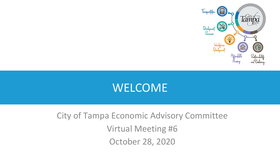

### WELCOME

City of Tampa Economic Advisory Committee Virtual Meeting #6 October 28, 2020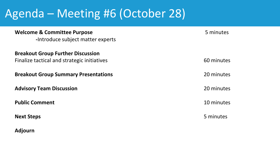## Agenda – Meeting #6 (October 28)

| 5 minutes  |
|------------|
| 60 minutes |
| 20 minutes |
| 20 minutes |
| 10 minutes |
| 5 minutes  |
|            |

**Adjourn**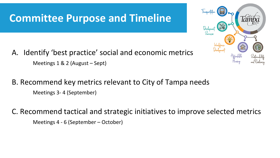## **Committee Purpose and Timeline**

A. Identify 'best practice' social and economic metrics

Meetings 1 & 2 (August – Sept)

### B. Recommend key metrics relevant to City of Tampa needs

Meetings 3- 4 (September)

C. Recommend tactical and strategic initiatives to improve selected metrics

Meetings 4 - 6 (September – October)

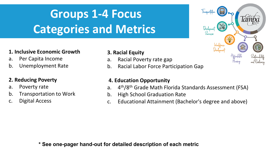# **Groups 1-4 Focus Categories and Metrics**

### **1. Inclusive Economic Growth**

- a. Per Capita Income
- b. Unemployment Rate

### **2. Reducing Poverty**

- a. Poverty rate
- b. Transportation to Work
- c. Digital Access

### **3. Racial Equity**

- a. Racial Poverty rate gap
- b. Racial Labor Force Participation Gap

### **4. Education Opportunity**

- a. 4th/8th Grade Math Florida Standards Assessment (FSA)
- b. High School Graduation Rate
- c. Educational Attainment (Bachelor's degree and above)

**\* See one-pager hand-out for detailed description of each metric**

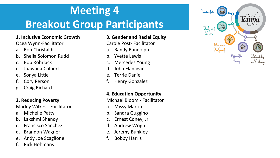## **Meeting 4 Breakout Group Participants**

### **1. Inclusive Economic Growth**

Ocea Wynn-Facilitator

- a. Ron Christaldi
- b. Sheila Solomon Rudd
- c. Bob Rohrlack
- d. Juawana Colbert
- e. Sonya Little
- f. Cory Person
- g. Craig Richard

### **2. Reducing Poverty**

Marley Wilkes - Facilitator

- a. Michelle Patty
- b. Lakshmi Shenoy
- c. Francisco Sanchez
- d. Brandon Wagner
- e. Andy Joe Scaglione
- f. Rick Hohmans

#### **3. Gender and Racial Equity**

Carole Post- Facilitator

- a. Randy Randolph
- b. Yvette Lewis
- c. Mercedes Young
- d. John Flanagan
- e. Terrie Daniel
- f. Henry Gonzalez

#### **4. Education Opportunity**

Michael Bloom - Facilitator

- a. Missy Martin
- b. Sandra Guggino
- c. Ernest Coney, Jr.
- d. Andrew Wright
- e. Jeremy Bunkley
- f. Bobby Harris

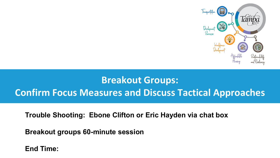

### **Breakout Groups: Confirm Focus Measures and Discuss Tactical Approaches**

**Trouble Shooting: Ebone Clifton or Eric Hayden via chat box**

**Breakout groups 60-minute session** 

**End Time:**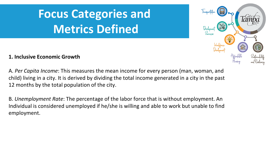### **1. Inclusive Economic Growth**

A. *Per Capita Income*: This measures the mean income for every person (man, woman, and child) living in a city. It is derived by dividing the total income generated in a city in the past 12 months by the total population of the city.

B. *Unemployment Rate*: The percentage of the labor force that is without employment. An Individual is considered unemployed if he/she is willing and able to work but unable to find employment.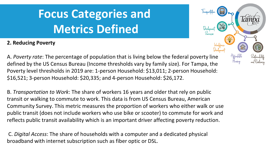### **2. Reducing Poverty**

A. *Poverty rate*: The percentage of population that is living below the federal poverty line defined by the US Census Bureau (Income thresholds vary by family size). For Tampa, the Poverty level thresholds in 2019 are: 1-person Household: \$13,011; 2-person Household: \$16,521; 3-person Household: \$20,335; and 4-person Household: \$26,172.

B. *Transportation to Work*: The share of workers 16 years and older that rely on public transit or walking to commute to work. This data is from US Census Bureau, American Community Survey. This metric measures the proportion of workers who either walk or use public transit (does not include workers who use bike or scooter) to commute for work and reflects public transit availability which is an important driver affecting poverty reduction.

C. *Digital Access*: The share of households with a computer and a dedicated physical broadband with internet subscription such as fiber optic or DSL.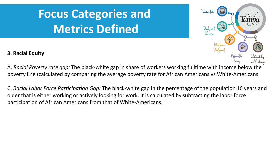### **3. Racial Equity**

A. *Racial Poverty rate gap:* The black-white gap in share of workers working fulltime with income below the poverty line (calculated by comparing the average poverty rate for African Americans vs White-Americans.

C. *Racial Labor Force Participation Gap:* The black-white gap in the percentage of the population 16 years and older that is either working or actively looking for work. It is calculated by subtracting the labor force participation of African Americans from that of White-Americans.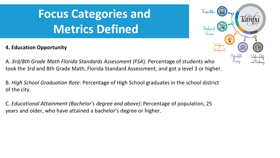### **4. Education Opportunity**



A. *3rd/8th Grade Math Florida Standards Assessment (FSA*): Percentage of students who took the 3rd and 8th Grade Math, Florida Standard Assessment, and got a level 3 or higher.

B. *High School Graduation Rate*: Percentage of High School graduates in the school district of the city.

C. *Educational Attainment (Bachelor's degree and above):* Percentage of population, 25 years and older, who have attained a bachelor's degree or higher.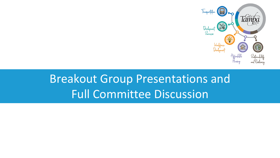

## Breakout Group Presentations and Full Committee Discussion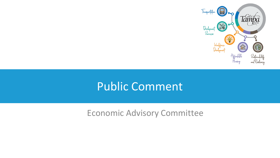

### Public Comment

Economic Advisory Committee